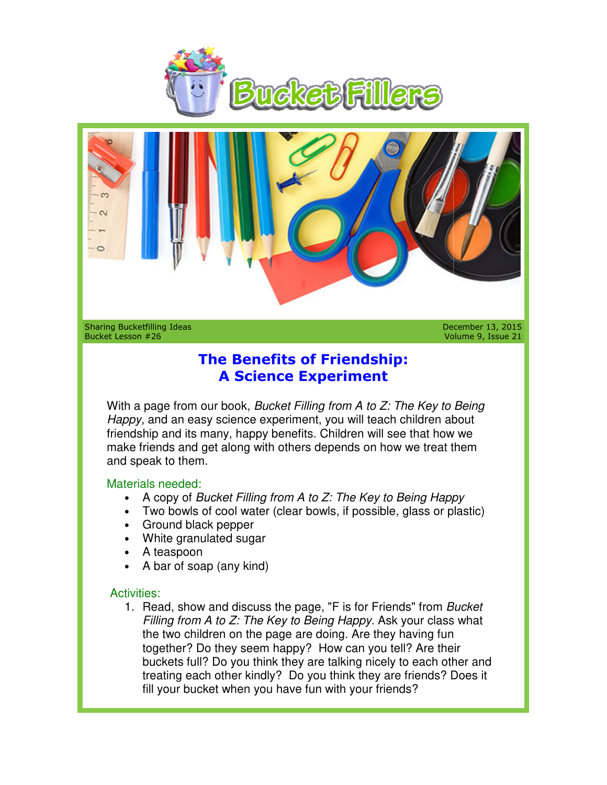



Sharing Bucketfilling Ideas Bucket Lesson #26

December 13, 2015 Volume 9, Issue 21

## **The Benefits of Friendship: of Friendship:A Science A Science Experiment**

With a page from our book, *Bucket Filling from A to Z: The Key to Being* Happy, and an easy science experiment, you will teach children about friendship and its many, happy benefits. Children will see that how we make friends and get along with others depends on how we treat them and speak to them.

## Materials needed:

- A copy of Bucket Filling from A to Z: The Key to Being Happy
- Two bowls of cool water (clear bowls, if possible, glass or plastic)
- Ground black pepper
- White granulated sugar
- A teaspoon
- A bar of soap (any kind)

## Activities:

• Two bowls of cool water (clear bowls, if possible, glass or plastic)<br>
• Ground black pepper<br>
• White granulated sugar<br>
• A teaspoon<br>
• A bar of soap (any kind)<br>
tivities:<br>
1. Read, show and discuss the page, "F is for Fr Filling from A to  $Z$ : The Key to Being Happy. Ask your class what the two children on the page are doing. Are they having fun the two children on the page are doing. Are they having fun<br>together? Do they seem happy? How can you tell? Are their buckets full? Do you think they are talking nicely to each other and Filling from A to Z: The Key to Being Happy. Ask your class what<br>the two children on the page are doing. Are they having fun<br>together? Do they seem happy? How can you tell? Are their<br>buckets full? Do you think they are tal fill your bucket when you have fun with your friends? **Example 13, 2015**<br> **Example 13, 2015**<br> **Example 13, 2015**<br> **The Benefits of Friendship:**<br> **A Science Experiment**<br>
page from our book, *Bucket Filling from A to Z: The Key to Being*<br>
and an easy science experiment, you wil